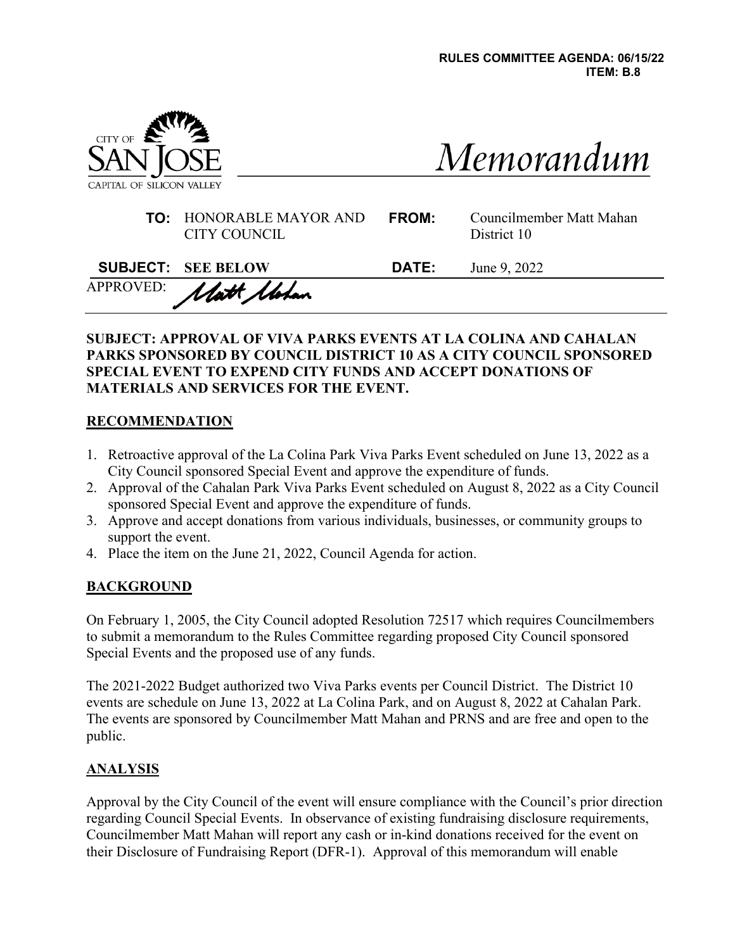

| Memorandum |  |
|------------|--|

| <b>TO:</b> HONORABLE MAYOR AND<br>CITY COUNCIL | <b>FROM:</b> | Councilmember Matt Mahan<br>District 10 |
|------------------------------------------------|--------------|-----------------------------------------|
|                                                |              |                                         |

| <b>SUBJECT: SEE BELOW</b> | <b>DATE:</b> June 9, 2022 |
|---------------------------|---------------------------|
| APPROVED: Matt Motan      |                           |

#### **SUBJECT: APPROVAL OF VIVA PARKS EVENTS AT LA COLINA AND CAHALAN PARKS SPONSORED BY COUNCIL DISTRICT 10 AS A CITY COUNCIL SPONSORED SPECIAL EVENT TO EXPEND CITY FUNDS AND ACCEPT DONATIONS OF MATERIALS AND SERVICES FOR THE EVENT.**

#### **RECOMMENDATION**

- 1. Retroactive approval of the La Colina Park Viva Parks Event scheduled on June 13, 2022 as a City Council sponsored Special Event and approve the expenditure of funds.
- 2. Approval of the Cahalan Park Viva Parks Event scheduled on August 8, 2022 as a City Council sponsored Special Event and approve the expenditure of funds.
- 3. Approve and accept donations from various individuals, businesses, or community groups to support the event.
- 4. Place the item on the June 21, 2022, Council Agenda for action.

# **BACKGROUND**

On February 1, 2005, the City Council adopted Resolution 72517 which requires Councilmembers to submit a memorandum to the Rules Committee regarding proposed City Council sponsored Special Events and the proposed use of any funds.

The 2021-2022 Budget authorized two Viva Parks events per Council District. The District 10 events are schedule on June 13, 2022 at La Colina Park, and on August 8, 2022 at Cahalan Park. The events are sponsored by Councilmember Matt Mahan and PRNS and are free and open to the public.

# **ANALYSIS**

Approval by the City Council of the event will ensure compliance with the Council's prior direction regarding Council Special Events. In observance of existing fundraising disclosure requirements, Councilmember Matt Mahan will report any cash or in-kind donations received for the event on their Disclosure of Fundraising Report (DFR-1). Approval of this memorandum will enable